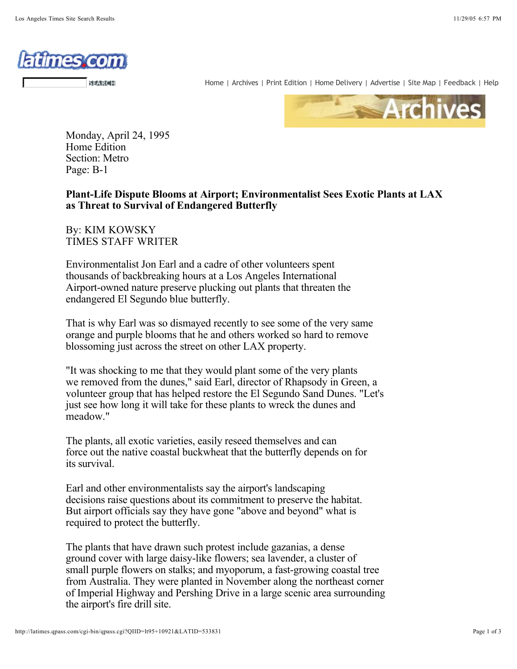

SEARCH

Home | Archives | Print Edition | Home Delivery | Advertise | Site Map | Feedback | Help



Monday, April 24, 1995 Home Edition Section: Metro Page: B-1

**Plant-Life Dispute Blooms at Airport; Environmentalist Sees Exotic Plants at LAX as Threat to Survival of Endangered Butterfly**

By: KIM KOWSKY TIMES STAFF WRITER

Environmentalist Jon Earl and a cadre of other volunteers spent thousands of backbreaking hours at a Los Angeles International Airport-owned nature preserve plucking out plants that threaten the endangered El Segundo blue butterfly.

That is why Earl was so dismayed recently to see some of the very same orange and purple blooms that he and others worked so hard to remove blossoming just across the street on other LAX property.

"It was shocking to me that they would plant some of the very plants we removed from the dunes," said Earl, director of Rhapsody in Green, a volunteer group that has helped restore the El Segundo Sand Dunes. "Let's just see how long it will take for these plants to wreck the dunes and meadow."

The plants, all exotic varieties, easily reseed themselves and can force out the native coastal buckwheat that the butterfly depends on for its survival.

Earl and other environmentalists say the airport's landscaping decisions raise questions about its commitment to preserve the habitat. But airport officials say they have gone "above and beyond" what is required to protect the butterfly.

The plants that have drawn such protest include gazanias, a dense ground cover with large daisy-like flowers; sea lavender, a cluster of small purple flowers on stalks; and myoporum, a fast-growing coastal tree from Australia. They were planted in November along the northeast corner of Imperial Highway and Pershing Drive in a large scenic area surrounding the airport's fire drill site.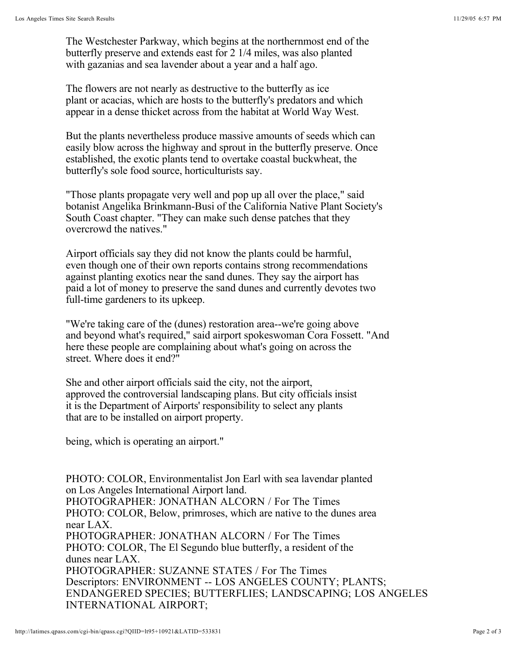The Westchester Parkway, which begins at the northernmost end of the butterfly preserve and extends east for 2 1/4 miles, was also planted with gazanias and sea lavender about a year and a half ago.

The flowers are not nearly as destructive to the butterfly as ice plant or acacias, which are hosts to the butterfly's predators and which appear in a dense thicket across from the habitat at World Way West.

But the plants nevertheless produce massive amounts of seeds which can easily blow across the highway and sprout in the butterfly preserve. Once established, the exotic plants tend to overtake coastal buckwheat, the butterfly's sole food source, horticulturists say.

"Those plants propagate very well and pop up all over the place," said botanist Angelika Brinkmann-Busi of the California Native Plant Society's South Coast chapter. "They can make such dense patches that they overcrowd the natives."

Airport officials say they did not know the plants could be harmful, even though one of their own reports contains strong recommendations against planting exotics near the sand dunes. They say the airport has paid a lot of money to preserve the sand dunes and currently devotes two full-time gardeners to its upkeep.

"We're taking care of the (dunes) restoration area--we're going above and beyond what's required," said airport spokeswoman Cora Fossett. "And here these people are complaining about what's going on across the street. Where does it end?"

She and other airport officials said the city, not the airport, approved the controversial landscaping plans. But city officials insist it is the Department of Airports' responsibility to select any plants that are to be installed on airport property.

being, which is operating an airport."

PHOTO: COLOR, Environmentalist Jon Earl with sea lavendar planted on Los Angeles International Airport land. PHOTOGRAPHER: JONATHAN ALCORN / For The Times PHOTO: COLOR, Below, primroses, which are native to the dunes area near LAX. PHOTOGRAPHER: JONATHAN ALCORN / For The Times PHOTO: COLOR, The El Segundo blue butterfly, a resident of the dunes near LAX. PHOTOGRAPHER: SUZANNE STATES / For The Times Descriptors: ENVIRONMENT -- LOS ANGELES COUNTY; PLANTS; ENDANGERED SPECIES; BUTTERFLIES; LANDSCAPING; LOS ANGELES INTERNATIONAL AIRPORT;